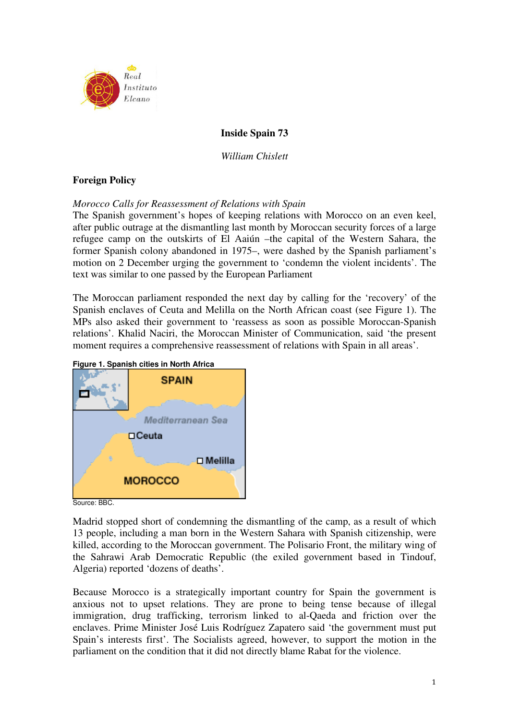

# **Inside Spain 73**

*William Chislett* 

## **Foreign Policy**

*Morocco Calls for Reassessment of Relations with Spain*

The Spanish government's hopes of keeping relations with Morocco on an even keel, after public outrage at the dismantling last month by Moroccan security forces of a large refugee camp on the outskirts of El Aaiún –the capital of the Western Sahara, the former Spanish colony abandoned in 1975–, were dashed by the Spanish parliament's motion on 2 December urging the government to 'condemn the violent incidents'. The text was similar to one passed by the European Parliament

The Moroccan parliament responded the next day by calling for the 'recovery' of the Spanish enclaves of Ceuta and Melilla on the North African coast (see Figure 1). The MPs also asked their government to 'reassess as soon as possible Moroccan-Spanish relations'. Khalid Naciri, the Moroccan Minister of Communication, said 'the present moment requires a comprehensive reassessment of relations with Spain in all areas'.



**Figure 1. Spanish cities in North Africa** 

Source: BBC.

Madrid stopped short of condemning the dismantling of the camp, as a result of which 13 people, including a man born in the Western Sahara with Spanish citizenship, were killed, according to the Moroccan government. The Polisario Front, the military wing of the Sahrawi Arab Democratic Republic (the exiled government based in Tindouf, Algeria) reported 'dozens of deaths'.

Because Morocco is a strategically important country for Spain the government is anxious not to upset relations. They are prone to being tense because of illegal immigration, drug trafficking, terrorism linked to al-Qaeda and friction over the enclaves. Prime Minister José Luis Rodríguez Zapatero said 'the government must put Spain's interests first'. The Socialists agreed, however, to support the motion in the parliament on the condition that it did not directly blame Rabat for the violence.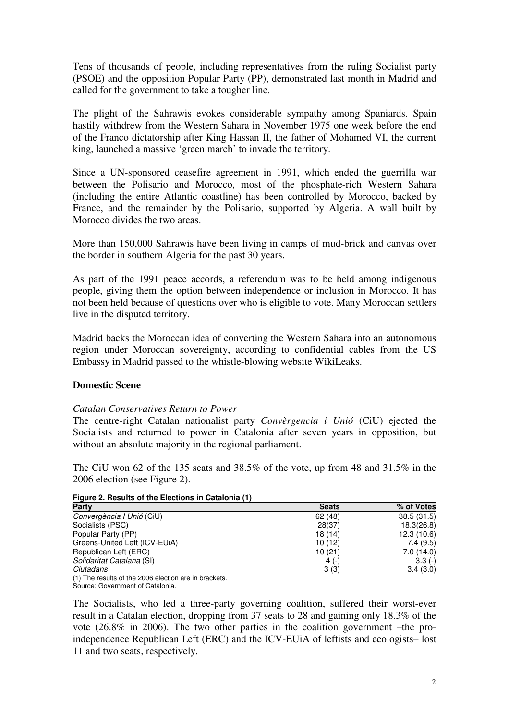Tens of thousands of people, including representatives from the ruling Socialist party (PSOE) and the opposition Popular Party (PP), demonstrated last month in Madrid and called for the government to take a tougher line.

The plight of the Sahrawis evokes considerable sympathy among Spaniards. Spain hastily withdrew from the Western Sahara in November 1975 one week before the end of the Franco dictatorship after King Hassan II, the father of Mohamed VI, the current king, launched a massive 'green march' to invade the territory.

Since a UN-sponsored ceasefire agreement in 1991, which ended the guerrilla war between the Polisario and Morocco, most of the phosphate-rich Western Sahara (including the entire Atlantic coastline) has been controlled by Morocco, backed by France, and the remainder by the Polisario, supported by Algeria. A wall built by Morocco divides the two areas.

More than 150,000 Sahrawis have been living in camps of mud-brick and canvas over the border in southern Algeria for the past 30 years.

As part of the 1991 peace accords, a referendum was to be held among indigenous people, giving them the option between independence or inclusion in Morocco. It has not been held because of questions over who is eligible to vote. Many Moroccan settlers live in the disputed territory.

Madrid backs the Moroccan idea of converting the Western Sahara into an autonomous region under Moroccan sovereignty, according to confidential cables from the US Embassy in Madrid passed to the whistle-blowing website WikiLeaks.

## **Domestic Scene**

## *Catalan Conservatives Return to Power*

The centre-right Catalan nationalist party *Convèrgencia i Unió* (CiU) ejected the Socialists and returned to power in Catalonia after seven years in opposition, but without an absolute majority in the regional parliament.

The CiU won 62 of the 135 seats and 38.5% of the vote, up from 48 and 31.5% in the 2006 election (see Figure 2).

**Figure 2. Results of the Elections in Catalonia (1)** 

| <b>Party</b>                  | <b>Seats</b> | % of Votes  |
|-------------------------------|--------------|-------------|
| Convergència I Unió (CiU)     | 62(48)       | 38.5(31.5)  |
| Socialists (PSC)              | 28(37)       | 18.3(26.8)  |
| Popular Party (PP)            | 18(14)       | 12.3 (10.6) |
| Greens-United Left (ICV-EUIA) | 10(12)       | 7.4(9.5)    |
| Republican Left (ERC)         | 10(21)       | 7.0(14.0)   |
| Solidaritat Catalana (SI)     | 4 $(-)$      | $3.3(-)$    |
| Ciutadans                     | 3(3)         | 3.4(3.0)    |

(1) The results of the 2006 election are in brackets.

Source: Government of Catalonia.

The Socialists, who led a three-party governing coalition, suffered their worst-ever result in a Catalan election, dropping from 37 seats to 28 and gaining only 18.3% of the vote (26.8% in 2006). The two other parties in the coalition government –the proindependence Republican Left (ERC) and the ICV-EUiA of leftists and ecologists– lost 11 and two seats, respectively.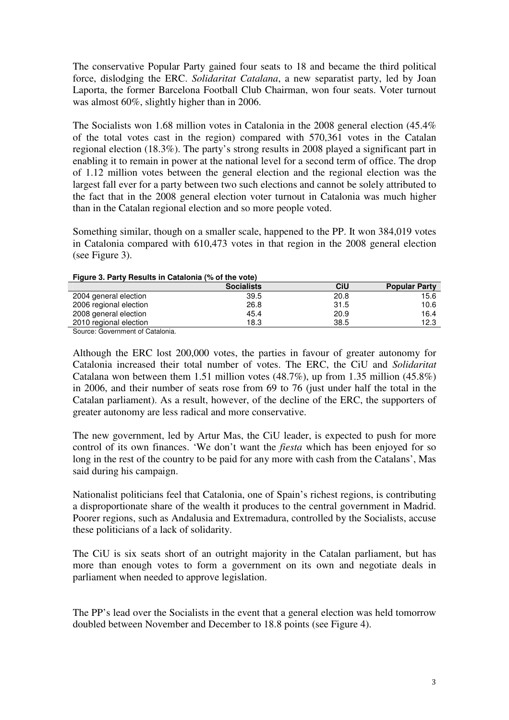The conservative Popular Party gained four seats to 18 and became the third political force, dislodging the ERC. *Solidaritat Catalana*, a new separatist party, led by Joan Laporta, the former Barcelona Football Club Chairman, won four seats. Voter turnout was almost 60%, slightly higher than in 2006.

The Socialists won 1.68 million votes in Catalonia in the 2008 general election (45.4% of the total votes cast in the region) compared with 570,361 votes in the Catalan regional election (18.3%). The party's strong results in 2008 played a significant part in enabling it to remain in power at the national level for a second term of office. The drop of 1.12 million votes between the general election and the regional election was the largest fall ever for a party between two such elections and cannot be solely attributed to the fact that in the 2008 general election voter turnout in Catalonia was much higher than in the Catalan regional election and so more people voted.

Something similar, though on a smaller scale, happened to the PP. It won 384,019 votes in Catalonia compared with 610,473 votes in that region in the 2008 general election (see Figure 3).

| Figure 3. Faily Results III Catalogua (76 Of the VOID) |                   |      |                      |
|--------------------------------------------------------|-------------------|------|----------------------|
|                                                        | <b>Socialists</b> | CiU  | <b>Popular Party</b> |
| 2004 general election                                  | 39.5              | 20.8 | 15.6                 |
| 2006 regional election                                 | 26.8              | 31.5 | 10.6                 |
| 2008 general election                                  | 45.4              | 20.9 | 16.4                 |
| 2010 regional election                                 | 18.3              | 38.5 | 12.3                 |

**Figure 3. Party Results in Catalonia (% of the vote)**

Source: Government of Catalonia.

Although the ERC lost 200,000 votes, the parties in favour of greater autonomy for Catalonia increased their total number of votes. The ERC, the CiU and *Solidaritat* Catalana won between them 1.51 million votes (48.7%), up from 1.35 million (45.8%) in 2006, and their number of seats rose from 69 to 76 (just under half the total in the Catalan parliament). As a result, however, of the decline of the ERC, the supporters of greater autonomy are less radical and more conservative.

The new government, led by Artur Mas, the CiU leader, is expected to push for more control of its own finances. 'We don't want the *fiesta* which has been enjoyed for so long in the rest of the country to be paid for any more with cash from the Catalans', Mas said during his campaign.

Nationalist politicians feel that Catalonia, one of Spain's richest regions, is contributing a disproportionate share of the wealth it produces to the central government in Madrid. Poorer regions, such as Andalusia and Extremadura, controlled by the Socialists, accuse these politicians of a lack of solidarity.

The CiU is six seats short of an outright majority in the Catalan parliament, but has more than enough votes to form a government on its own and negotiate deals in parliament when needed to approve legislation.

The PP's lead over the Socialists in the event that a general election was held tomorrow doubled between November and December to 18.8 points (see Figure 4).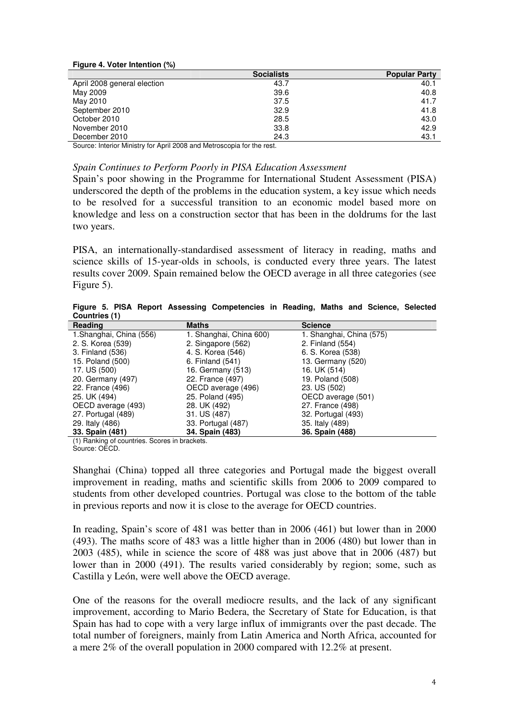|                             | <b>Socialists</b> | <b>Popular Party</b> |
|-----------------------------|-------------------|----------------------|
| April 2008 general election | 43.7              | 40.1                 |
| May 2009                    | 39.6              | 40.8                 |
| May 2010                    | 37.5              | 41.7                 |
| September 2010              | 32.9              | 41.8                 |
| October 2010                | 28.5              | 43.0                 |
| November 2010               | 33.8              | 42.9                 |
| December 2010               | 24.3              | 43.1                 |

Source: Interior Ministry for April 2008 and Metroscopia for the rest.

#### *Spain Continues to Perform Poorly in PISA Education Assessment*

Spain's poor showing in the Programme for International Student Assessment (PISA) underscored the depth of the problems in the education system, a key issue which needs to be resolved for a successful transition to an economic model based more on knowledge and less on a construction sector that has been in the doldrums for the last two years.

PISA, an internationally-standardised assessment of literacy in reading, maths and science skills of 15-year-olds in schools, is conducted every three years. The latest results cover 2009. Spain remained below the OECD average in all three categories (see Figure 5).

**Figure 5. PISA Report Assessing Competencies in Reading, Maths and Science, Selected Countries (1)** 

| Reading                  | <b>Maths</b>            | <b>Science</b>           |
|--------------------------|-------------------------|--------------------------|
| 1. Shanghai, China (556) | 1. Shanghai, China 600) | 1. Shanghai, China (575) |
| 2. S. Korea (539)        | 2. Singapore (562)      | 2. Finland (554)         |
| 3. Finland (536)         | 4. S. Korea (546)       | 6. S. Korea (538)        |
| 15. Poland (500)         | 6. Finland (541)        | 13. Germany (520)        |
| 17. US (500)             | 16. Germany (513)       | 16. UK (514)             |
| 20. Germany (497)        | 22. France (497)        | 19. Poland (508)         |
| 22. France (496)         | OECD average (496)      | 23. US (502)             |
| 25. UK (494)             | 25. Poland (495)        | OECD average (501)       |
| OECD average (493)       | 28. UK (492)            | 27. France (498)         |
| 27. Portugal (489)       | 31. US (487)            | 32. Portugal (493)       |
| 29. Italy (486)          | 33. Portugal (487)      | 35. Italy (489)          |
| 33. Spain (481)          | 34. Spain (483)         | 36. Spain (488)          |

(1) Ranking of countries. Scores in brackets.

Shanghai (China) topped all three categories and Portugal made the biggest overall improvement in reading, maths and scientific skills from 2006 to 2009 compared to students from other developed countries. Portugal was close to the bottom of the table in previous reports and now it is close to the average for OECD countries.

In reading, Spain's score of 481 was better than in 2006 (461) but lower than in 2000 (493). The maths score of 483 was a little higher than in 2006 (480) but lower than in 2003 (485), while in science the score of 488 was just above that in 2006 (487) but lower than in 2000 (491). The results varied considerably by region; some, such as Castilla y León, were well above the OECD average.

One of the reasons for the overall mediocre results, and the lack of any significant improvement, according to Mario Bedera, the Secretary of State for Education, is that Spain has had to cope with a very large influx of immigrants over the past decade. The total number of foreigners, mainly from Latin America and North Africa, accounted for a mere 2% of the overall population in 2000 compared with 12.2% at present.

Source: OECD.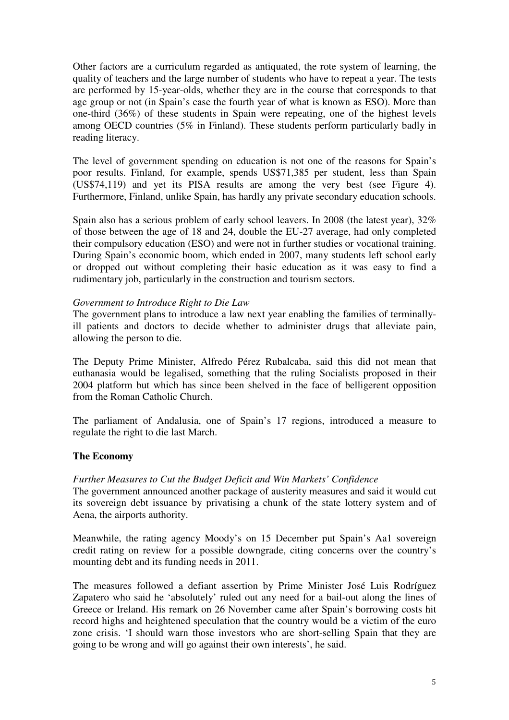Other factors are a curriculum regarded as antiquated, the rote system of learning, the quality of teachers and the large number of students who have to repeat a year. The tests are performed by 15-year-olds, whether they are in the course that corresponds to that age group or not (in Spain's case the fourth year of what is known as ESO). More than one-third (36%) of these students in Spain were repeating, one of the highest levels among OECD countries (5% in Finland). These students perform particularly badly in reading literacy.

The level of government spending on education is not one of the reasons for Spain's poor results. Finland, for example, spends US\$71,385 per student, less than Spain (US\$74,119) and yet its PISA results are among the very best (see Figure 4). Furthermore, Finland, unlike Spain, has hardly any private secondary education schools.

Spain also has a serious problem of early school leavers. In 2008 (the latest year), 32% of those between the age of 18 and 24, double the EU-27 average, had only completed their compulsory education (ESO) and were not in further studies or vocational training. During Spain's economic boom, which ended in 2007, many students left school early or dropped out without completing their basic education as it was easy to find a rudimentary job, particularly in the construction and tourism sectors.

### *Government to Introduce Right to Die Law*

The government plans to introduce a law next year enabling the families of terminallyill patients and doctors to decide whether to administer drugs that alleviate pain, allowing the person to die.

The Deputy Prime Minister, Alfredo Pérez Rubalcaba, said this did not mean that euthanasia would be legalised, something that the ruling Socialists proposed in their 2004 platform but which has since been shelved in the face of belligerent opposition from the Roman Catholic Church.

The parliament of Andalusia, one of Spain's 17 regions, introduced a measure to regulate the right to die last March.

### **The Economy**

#### *Further Measures to Cut the Budget Deficit and Win Markets' Confidence*

The government announced another package of austerity measures and said it would cut its sovereign debt issuance by privatising a chunk of the state lottery system and of Aena, the airports authority.

Meanwhile, the rating agency Moody's on 15 December put Spain's Aa1 sovereign credit rating on review for a possible downgrade, citing concerns over the country's mounting debt and its funding needs in 2011.

The measures followed a defiant assertion by Prime Minister José Luis Rodríguez Zapatero who said he 'absolutely' ruled out any need for a bail-out along the lines of Greece or Ireland. His remark on 26 November came after Spain's borrowing costs hit record highs and heightened speculation that the country would be a victim of the euro zone crisis. 'I should warn those investors who are short-selling Spain that they are going to be wrong and will go against their own interests', he said.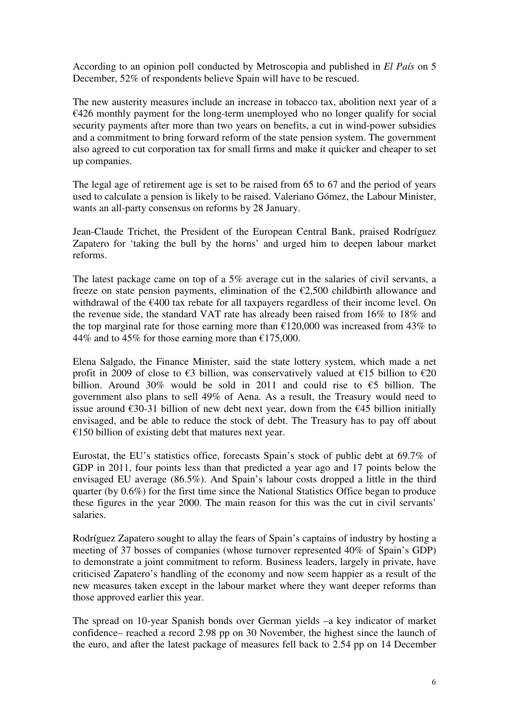According to an opinion poll conducted by Metroscopia and published in *El País* on 5 December, 52% of respondents believe Spain will have to be rescued.

The new austerity measures include an increase in tobacco tax, abolition next year of a  $€426$  monthly payment for the long-term unemployed who no longer qualify for social security payments after more than two years on benefits, a cut in wind-power subsidies and a commitment to bring forward reform of the state pension system. The government also agreed to cut corporation tax for small firms and make it quicker and cheaper to set up companies.

The legal age of retirement age is set to be raised from 65 to 67 and the period of years used to calculate a pension is likely to be raised. Valeriano Gómez, the Labour Minister, wants an all-party consensus on reforms by 28 January.

Jean-Claude Trichet, the President of the European Central Bank, praised Rodríguez Zapatero for 'taking the bull by the horns' and urged him to deepen labour market reforms.

The latest package came on top of a 5% average cut in the salaries of civil servants, a freeze on state pension payments, elimination of the  $\epsilon$ 2,500 childbirth allowance and withdrawal of the €400 tax rebate for all taxpayers regardless of their income level. On the revenue side, the standard VAT rate has already been raised from 16% to 18% and the top marginal rate for those earning more than  $\epsilon$ 120,000 was increased from 43% to 44% and to 45% for those earning more than  $£175,000$ .

Elena Salgado, the Finance Minister, said the state lottery system, which made a net profit in 2009 of close to  $\epsilon$ 3 billion, was conservatively valued at  $\epsilon$ 15 billion to  $\epsilon$ 20 billion. Around 30% would be sold in 2011 and could rise to  $\epsilon$ 5 billion. The government also plans to sell 49% of Aena. As a result, the Treasury would need to issue around €30-31 billion of new debt next year, down from the €45 billion initially envisaged, and be able to reduce the stock of debt. The Treasury has to pay off about  $\epsilon$ 150 billion of existing debt that matures next year.

Eurostat, the EU's statistics office, forecasts Spain's stock of public debt at 69.7% of GDP in 2011, four points less than that predicted a year ago and 17 points below the envisaged EU average (86.5%). And Spain's labour costs dropped a little in the third quarter (by 0.6%) for the first time since the National Statistics Office began to produce these figures in the year 2000. The main reason for this was the cut in civil servants' salaries.

Rodríguez Zapatero sought to allay the fears of Spain's captains of industry by hosting a meeting of 37 bosses of companies (whose turnover represented 40% of Spain's GDP) to demonstrate a joint commitment to reform. Business leaders, largely in private, have criticised Zapatero's handling of the economy and now seem happier as a result of the new measures taken except in the labour market where they want deeper reforms than those approved earlier this year.

The spread on 10-year Spanish bonds over German yields –a key indicator of market confidence– reached a record 2.98 pp on 30 November, the highest since the launch of the euro, and after the latest package of measures fell back to 2.54 pp on 14 December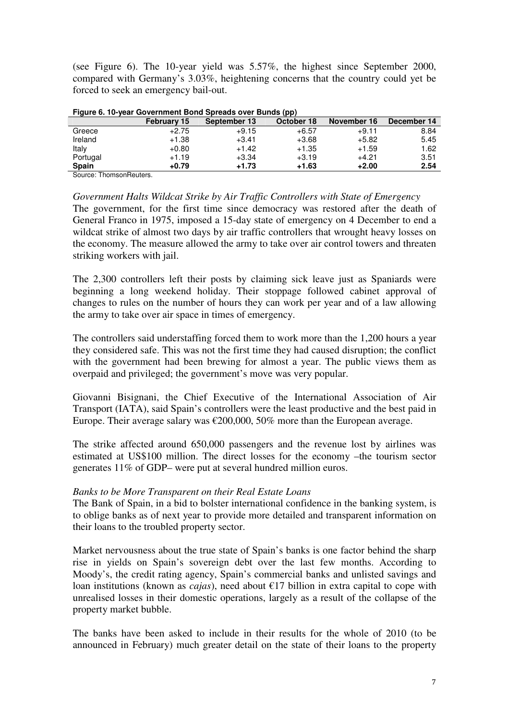(see Figure 6). The 10-year yield was 5.57%, the highest since September 2000, compared with Germany's 3.03%, heightening concerns that the country could yet be forced to seek an emergency bail-out.

|              | <b>February 15</b> | September 13 | October 18 | November 16 | December 14 |
|--------------|--------------------|--------------|------------|-------------|-------------|
| Greece       | $+2.75$            | $+9.15$      | $+6.57$    | +9.11       | 8.84        |
| Ireland      | $+1.38$            | $+3.41$      | $+3.68$    | $+5.82$     | 5.45        |
| Italy        | $+0.80$            | $+1.42$      | $+1.35$    | $+1.59$     | 1.62        |
| Portugal     | $+1.19$            | $+3.34$      | $+3.19$    | $+4.21$     | 3.51        |
| <b>Spain</b> | $+0.79$            | $+1.73$      | $+1.63$    | $+2.00$     | 2.54        |
|              |                    |              |            |             |             |

**Figure 6. 10-year Government Bond Spreads over Bunds (pp)** 

Source: ThomsonReuters.

*Government Halts Wildcat Strike by Air Traffic Controllers with State of Emergency* 

The government, for the first time since democracy was restored after the death of General Franco in 1975, imposed a 15-day state of emergency on 4 December to end a wildcat strike of almost two days by air traffic controllers that wrought heavy losses on the economy. The measure allowed the army to take over air control towers and threaten striking workers with jail.

The 2,300 controllers left their posts by claiming sick leave just as Spaniards were beginning a long weekend holiday. Their stoppage followed cabinet approval of changes to rules on the number of hours they can work per year and of a law allowing the army to take over air space in times of emergency.

The controllers said understaffing forced them to work more than the 1,200 hours a year they considered safe. This was not the first time they had caused disruption; the conflict with the government had been brewing for almost a year. The public views them as overpaid and privileged; the government's move was very popular.

Giovanni Bisignani, the Chief Executive of the International Association of Air Transport (IATA), said Spain's controllers were the least productive and the best paid in Europe. Their average salary was  $\epsilon$ 200,000, 50% more than the European average.

The strike affected around 650,000 passengers and the revenue lost by airlines was estimated at US\$100 million. The direct losses for the economy –the tourism sector generates 11% of GDP– were put at several hundred million euros.

### *Banks to be More Transparent on their Real Estate Loans*

The Bank of Spain, in a bid to bolster international confidence in the banking system, is to oblige banks as of next year to provide more detailed and transparent information on their loans to the troubled property sector.

Market nervousness about the true state of Spain's banks is one factor behind the sharp rise in yields on Spain's sovereign debt over the last few months. According to Moody's, the credit rating agency, Spain's commercial banks and unlisted savings and loan institutions (known as *cajas*), need about  $\epsilon$ 17 billion in extra capital to cope with unrealised losses in their domestic operations, largely as a result of the collapse of the property market bubble.

The banks have been asked to include in their results for the whole of 2010 (to be announced in February) much greater detail on the state of their loans to the property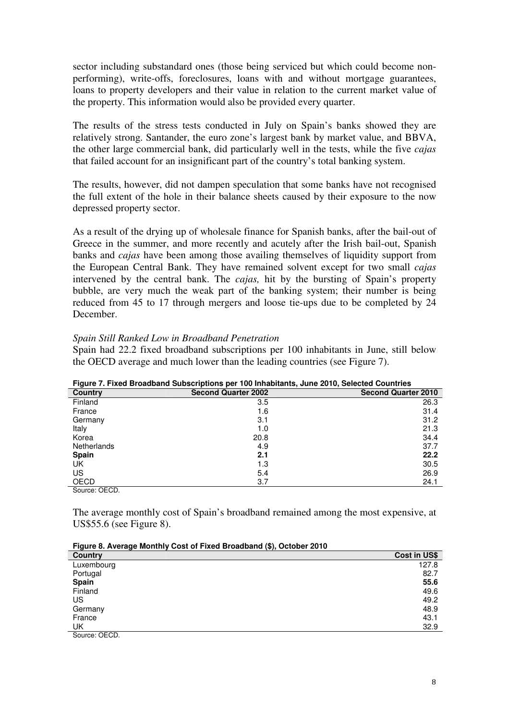sector including substandard ones (those being serviced but which could become nonperforming), write-offs, foreclosures, loans with and without mortgage guarantees, loans to property developers and their value in relation to the current market value of the property. This information would also be provided every quarter.

The results of the stress tests conducted in July on Spain's banks showed they are relatively strong. Santander, the euro zone's largest bank by market value, and BBVA, the other large commercial bank, did particularly well in the tests, while the five *cajas* that failed account for an insignificant part of the country's total banking system.

The results, however, did not dampen speculation that some banks have not recognised the full extent of the hole in their balance sheets caused by their exposure to the now depressed property sector.

As a result of the drying up of wholesale finance for Spanish banks, after the bail-out of Greece in the summer, and more recently and acutely after the Irish bail-out, Spanish banks and *cajas* have been among those availing themselves of liquidity support from the European Central Bank. They have remained solvent except for two small *cajas*  intervened by the central bank. The *cajas,* hit by the bursting of Spain's property bubble, are very much the weak part of the banking system; their number is being reduced from 45 to 17 through mergers and loose tie-ups due to be completed by 24 December.

### *Spain Still Ranked Low in Broadband Penetration*

Spain had 22.2 fixed broadband subscriptions per 100 inhabitants in June, still below the OECD average and much lower than the leading countries (see Figure 7).

| .<br><b>Country</b> | <b>Second Quarter 2002</b> | <b>Second Quarter 2010</b> |
|---------------------|----------------------------|----------------------------|
| Finland             | 3.5                        | 26.3                       |
| France              | 1.6                        | 31.4                       |
| Germany             | 3.1                        | 31.2                       |
| Italy               | 1.0                        | 21.3                       |
| Korea               | 20.8                       | 34.4                       |
| Netherlands         | 4.9                        | 37.7                       |
| <b>Spain</b>        | 2.1                        | 22.2                       |
| UK                  | 1.3                        | 30.5                       |
| US                  | 5.4                        | 26.9                       |
| <b>OECD</b>         | 3.7                        | 24.1                       |

**Figure 7. Fixed Broadband Subscriptions per 100 Inhabitants, June 2010, Selected Countries** 

Source: OECD.

The average monthly cost of Spain's broadband remained among the most expensive, at US\$55.6 (see Figure 8).

| Figure 8. Average Monthly Cost of Fixed Broadband (\$), October 2010 |
|----------------------------------------------------------------------|
|----------------------------------------------------------------------|

| . . <u>.</u><br>- 3 -<br>$(1)$ - $-1$ - $-1$ - $-1$  |              |
|------------------------------------------------------|--------------|
| Country                                              | Cost in US\$ |
| Luxembourg                                           | 127.8        |
| Portugal                                             | 82.7         |
| <b>Spain</b>                                         | 55.6         |
| Finland                                              | 49.6         |
| US                                                   | 49.2         |
| Germany                                              | 48.9         |
| France                                               | 43.1         |
| UK                                                   | 32.9         |
| $\sim$<br>$\overline{a} = \overline{a} \overline{b}$ |              |

Source: OECD.